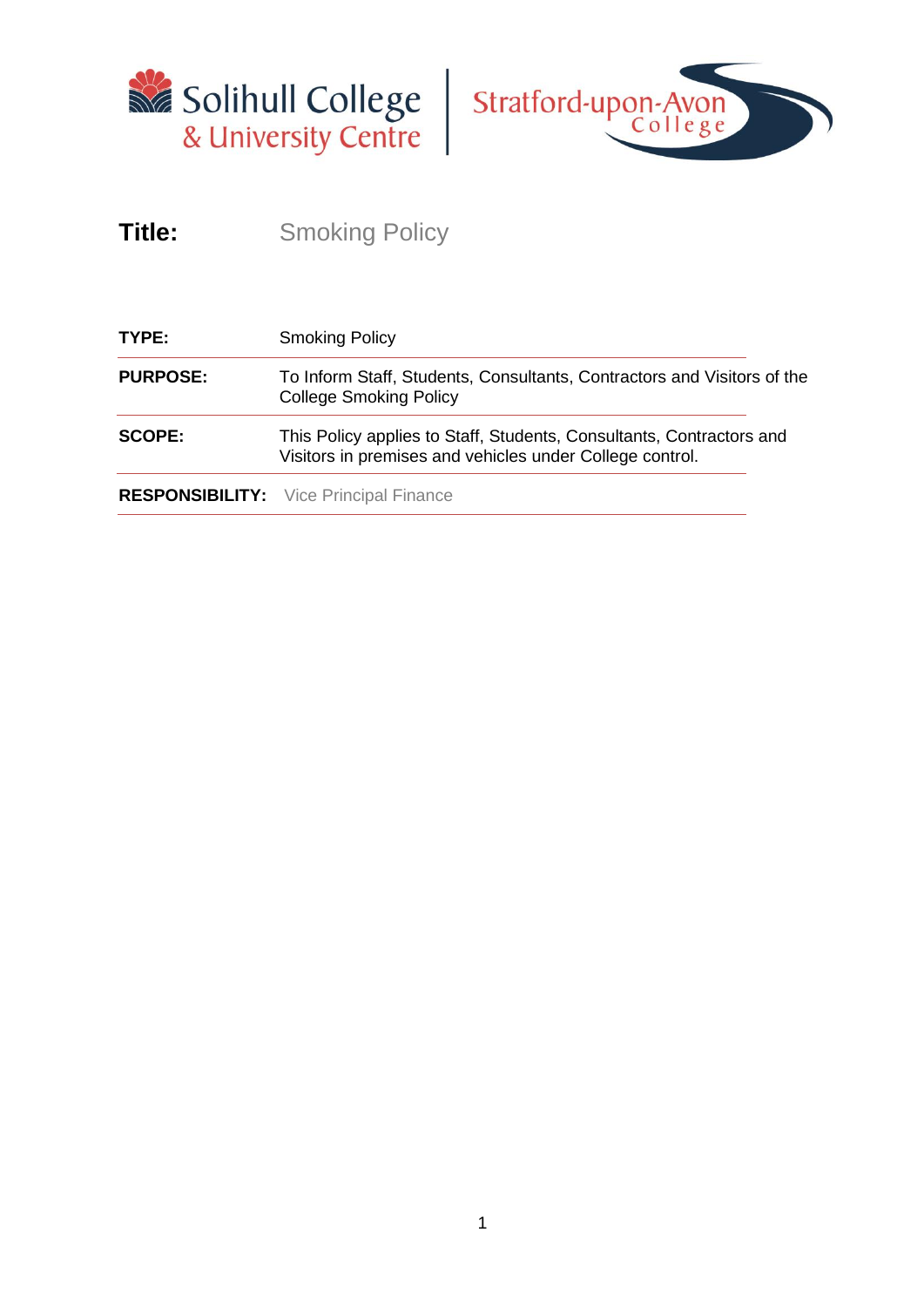



# **Title:** Smoking Policy

| TYPE:           | <b>Smoking Policy</b>                                                                                                            |  |
|-----------------|----------------------------------------------------------------------------------------------------------------------------------|--|
| <b>PURPOSE:</b> | To Inform Staff, Students, Consultants, Contractors and Visitors of the<br><b>College Smoking Policy</b>                         |  |
| <b>SCOPE:</b>   | This Policy applies to Staff, Students, Consultants, Contractors and<br>Visitors in premises and vehicles under College control. |  |
|                 | <b>RESPONSIBILITY:</b> Vice Principal Finance                                                                                    |  |
|                 |                                                                                                                                  |  |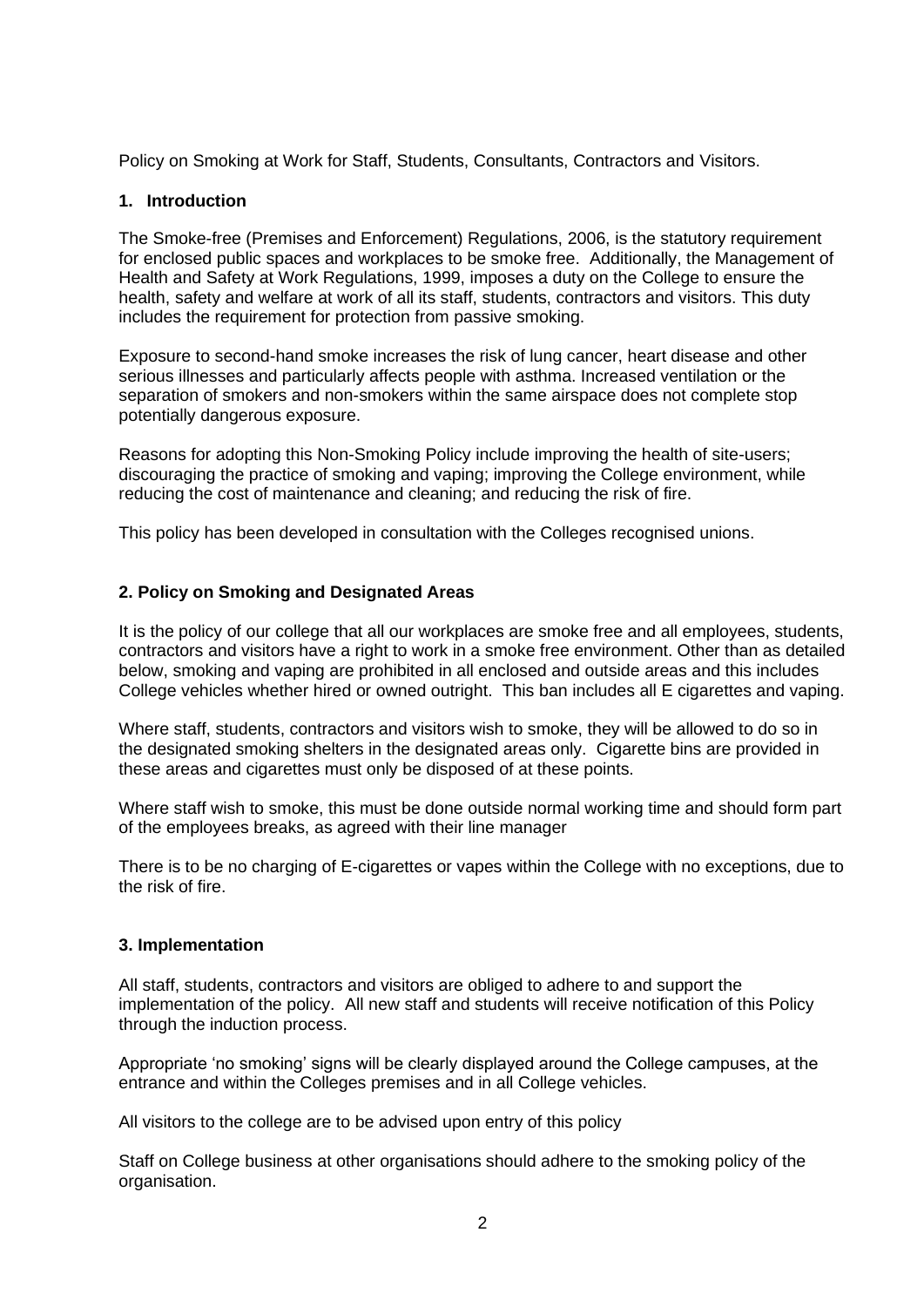Policy on Smoking at Work for Staff, Students, Consultants, Contractors and Visitors.

## **1. Introduction**

The Smoke-free (Premises and Enforcement) Regulations, 2006, is the statutory requirement for enclosed public spaces and workplaces to be smoke free. Additionally, the Management of Health and Safety at Work Regulations, 1999, imposes a duty on the College to ensure the health, safety and welfare at work of all its staff, students, contractors and visitors. This duty includes the requirement for protection from passive smoking.

Exposure to second-hand smoke increases the risk of lung cancer, heart disease and other serious illnesses and particularly affects people with asthma. Increased ventilation or the separation of smokers and non-smokers within the same airspace does not complete stop potentially dangerous exposure.

Reasons for adopting this Non-Smoking Policy include improving the health of site-users; discouraging the practice of smoking and vaping; improving the College environment, while reducing the cost of maintenance and cleaning; and reducing the risk of fire.

This policy has been developed in consultation with the Colleges recognised unions.

## **2. Policy on Smoking and Designated Areas**

It is the policy of our college that all our workplaces are smoke free and all employees, students, contractors and visitors have a right to work in a smoke free environment. Other than as detailed below, smoking and vaping are prohibited in all enclosed and outside areas and this includes College vehicles whether hired or owned outright. This ban includes all E cigarettes and vaping.

Where staff, students, contractors and visitors wish to smoke, they will be allowed to do so in the designated smoking shelters in the designated areas only. Cigarette bins are provided in these areas and cigarettes must only be disposed of at these points.

Where staff wish to smoke, this must be done outside normal working time and should form part of the employees breaks, as agreed with their line manager

There is to be no charging of E-cigarettes or vapes within the College with no exceptions, due to the risk of fire.

### **3. Implementation**

All staff, students, contractors and visitors are obliged to adhere to and support the implementation of the policy. All new staff and students will receive notification of this Policy through the induction process.

Appropriate 'no smoking' signs will be clearly displayed around the College campuses, at the entrance and within the Colleges premises and in all College vehicles.

All visitors to the college are to be advised upon entry of this policy

Staff on College business at other organisations should adhere to the smoking policy of the organisation.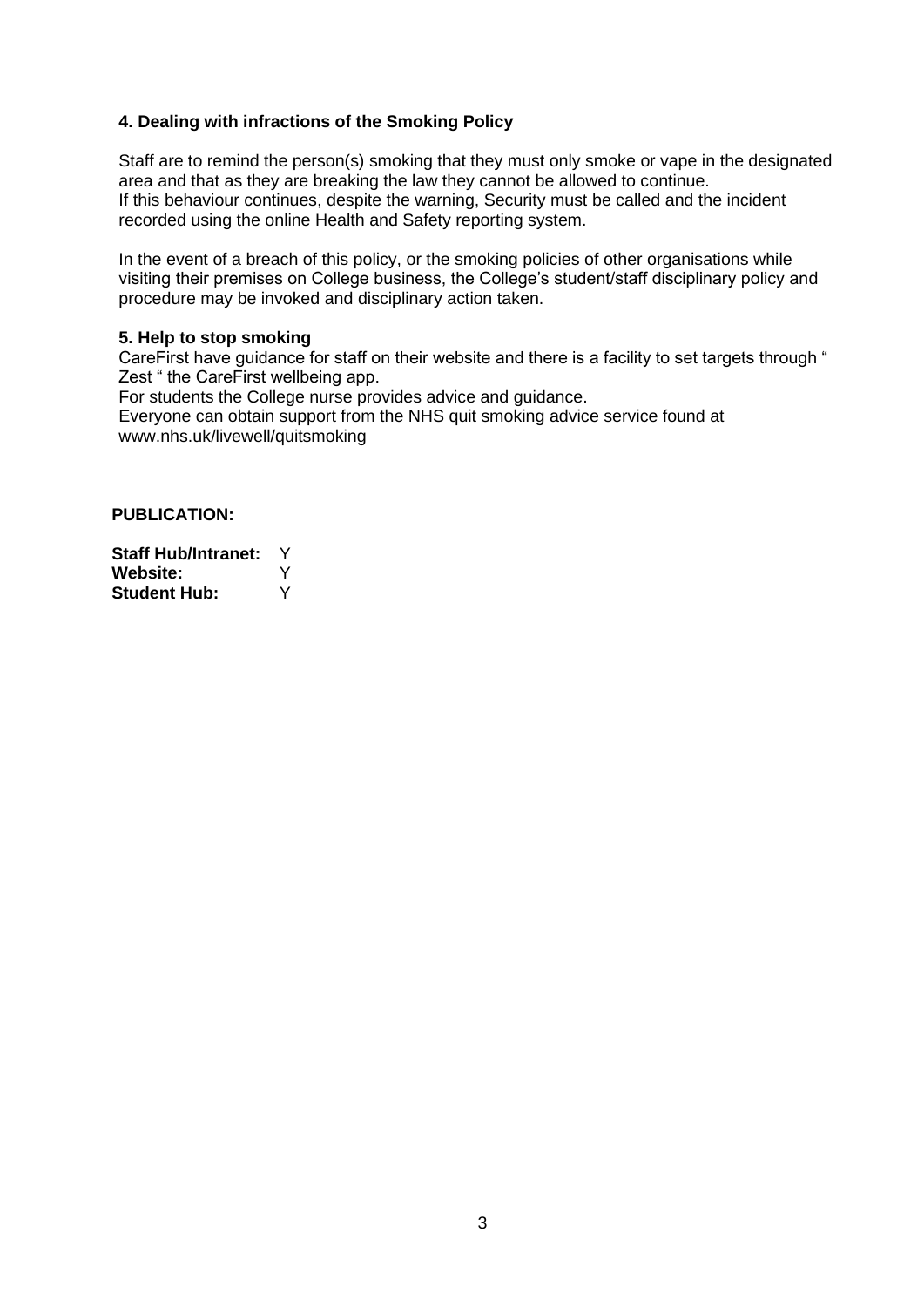### **4. Dealing with infractions of the Smoking Policy**

Staff are to remind the person(s) smoking that they must only smoke or vape in the designated area and that as they are breaking the law they cannot be allowed to continue. If this behaviour continues, despite the warning, Security must be called and the incident recorded using the online Health and Safety reporting system.

In the event of a breach of this policy, or the smoking policies of other organisations while visiting their premises on College business, the College's student/staff disciplinary policy and procedure may be invoked and disciplinary action taken.

### **5. Help to stop smoking**

CareFirst have guidance for staff on their website and there is a facility to set targets through " Zest " the CareFirst wellbeing app.

For students the College nurse provides advice and guidance.

Everyone can obtain support from the NHS quit smoking advice service found at www.nhs.uk/livewell/quitsmoking

## **PUBLICATION:**

**Staff Hub/Intranet:** Y **Website:** Y **Student Hub:** Y